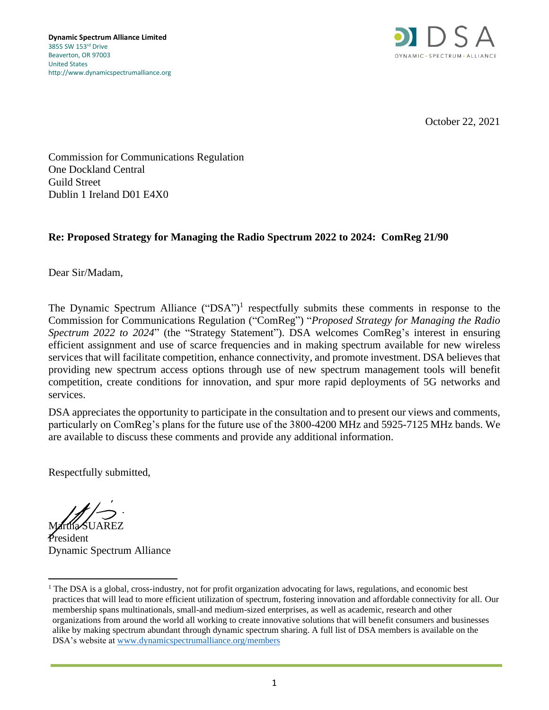

October 22, 2021

Commission for Communications Regulation One Dockland Central Guild Street Dublin 1 Ireland D01 E4X0

# **Re: Proposed Strategy for Managing the Radio Spectrum 2022 to 2024: ComReg 21/90**

Dear Sir/Madam,

The Dynamic Spectrum Alliance  $("DSA")$ <sup>1</sup> respectfully submits these comments in response to the Commission for Communications Regulation ("ComReg") "*Proposed Strategy for Managing the Radio Spectrum 2022 to 2024*" (the "Strategy Statement"). DSA welcomes ComReg's interest in ensuring efficient assignment and use of scarce frequencies and in making spectrum available for new wireless services that will facilitate competition, enhance connectivity, and promote investment. DSA believes that providing new spectrum access options through use of new spectrum management tools will benefit competition, create conditions for innovation, and spur more rapid deployments of 5G networks and services.

DSA appreciates the opportunity to participate in the consultation and to present our views and comments, particularly on ComReg's plans for the future use of the 3800-4200 MHz and 5925-7125 MHz bands. We are available to discuss these comments and provide any additional information.

Respectfully submitted,

Martha SUAREZ

President Dynamic Spectrum Alliance

<sup>&</sup>lt;sup>1</sup> The DSA is a global, cross-industry, not for profit organization advocating for laws, regulations, and economic best practices that will lead to more efficient utilization of spectrum, fostering innovation and affordable connectivity for all. Our membership spans multinationals, small-and medium-sized enterprises, as well as academic, research and other organizations from around the world all working to create innovative solutions that will benefit consumers and businesses alike by making spectrum abundant through dynamic spectrum sharing. A full list of DSA members is available on the DSA's website at [www.dynamicspectrumalliance.org/members](http://www.dynamicspectrumalliance.org/members)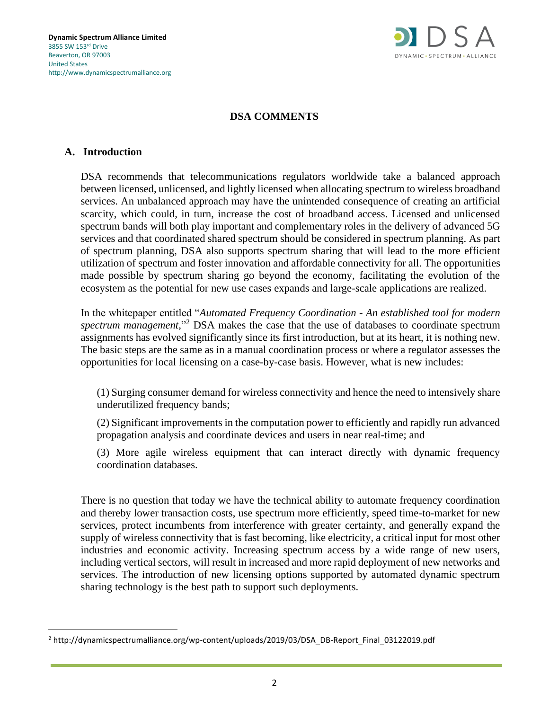

## **DSA COMMENTS**

#### **A. Introduction**

DSA recommends that telecommunications regulators worldwide take a balanced approach between licensed, unlicensed, and lightly licensed when allocating spectrum to wireless broadband services. An unbalanced approach may have the unintended consequence of creating an artificial scarcity, which could, in turn, increase the cost of broadband access. Licensed and unlicensed spectrum bands will both play important and complementary roles in the delivery of advanced 5G services and that coordinated shared spectrum should be considered in spectrum planning. As part of spectrum planning, DSA also supports spectrum sharing that will lead to the more efficient utilization of spectrum and foster innovation and affordable connectivity for all. The opportunities made possible by spectrum sharing go beyond the economy, facilitating the evolution of the ecosystem as the potential for new use cases expands and large-scale applications are realized.

In the whitepaper entitled "*Automated Frequency Coordination - An established tool for modern spectrum management*," <sup>2</sup> DSA makes the case that the use of databases to coordinate spectrum assignments has evolved significantly since its first introduction, but at its heart, it is nothing new. The basic steps are the same as in a manual coordination process or where a regulator assesses the opportunities for local licensing on a case-by-case basis. However, what is new includes:

(1) Surging consumer demand for wireless connectivity and hence the need to intensively share underutilized frequency bands;

(2) Significant improvements in the computation power to efficiently and rapidly run advanced propagation analysis and coordinate devices and users in near real-time; and

(3) More agile wireless equipment that can interact directly with dynamic frequency coordination databases.

There is no question that today we have the technical ability to automate frequency coordination and thereby lower transaction costs, use spectrum more efficiently, speed time-to-market for new services, protect incumbents from interference with greater certainty, and generally expand the supply of wireless connectivity that is fast becoming, like electricity, a critical input for most other industries and economic activity. Increasing spectrum access by a wide range of new users, including vertical sectors, will result in increased and more rapid deployment of new networks and services. The introduction of new licensing options supported by automated dynamic spectrum sharing technology is the best path to support such deployments.

<sup>2</sup> http://dynamicspectrumalliance.org/wp-content/uploads/2019/03/DSA\_DB-Report\_Final\_03122019.pdf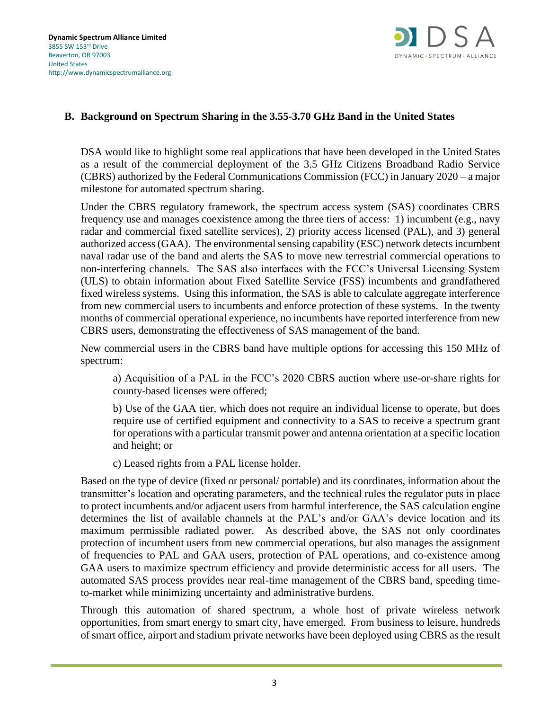

## **B. Background on Spectrum Sharing in the 3.55-3.70 GHz Band in the United States**

DSA would like to highlight some real applications that have been developed in the United States as a result of the commercial deployment of the 3.5 GHz Citizens Broadband Radio Service (CBRS) authorized by the Federal Communications Commission (FCC) in January 2020 – a major milestone for automated spectrum sharing.

Under the CBRS regulatory framework, the spectrum access system (SAS) coordinates CBRS frequency use and manages coexistence among the three tiers of access: 1) incumbent (e.g., navy radar and commercial fixed satellite services), 2) priority access licensed (PAL), and 3) general authorized access (GAA). The environmental sensing capability (ESC) network detects incumbent naval radar use of the band and alerts the SAS to move new terrestrial commercial operations to non-interfering channels. The SAS also interfaces with the FCC's Universal Licensing System (ULS) to obtain information about Fixed Satellite Service (FSS) incumbents and grandfathered fixed wireless systems. Using this information, the SAS is able to calculate aggregate interference from new commercial users to incumbents and enforce protection of these systems. In the twenty months of commercial operational experience, no incumbents have reported interference from new CBRS users, demonstrating the effectiveness of SAS management of the band.

New commercial users in the CBRS band have multiple options for accessing this 150 MHz of spectrum:

a) Acquisition of a PAL in the FCC's 2020 CBRS auction where use-or-share rights for county-based licenses were offered;

b) Use of the GAA tier, which does not require an individual license to operate, but does require use of certified equipment and connectivity to a SAS to receive a spectrum grant for operations with a particular transmit power and antenna orientation at a specific location and height; or

c) Leased rights from a PAL license holder.

Based on the type of device (fixed or personal/ portable) and its coordinates, information about the transmitter's location and operating parameters, and the technical rules the regulator puts in place to protect incumbents and/or adjacent users from harmful interference, the SAS calculation engine determines the list of available channels at the PAL's and/or GAA's device location and its maximum permissible radiated power. As described above, the SAS not only coordinates protection of incumbent users from new commercial operations, but also manages the assignment of frequencies to PAL and GAA users, protection of PAL operations, and co-existence among GAA users to maximize spectrum efficiency and provide deterministic access for all users. The automated SAS process provides near real-time management of the CBRS band, speeding timeto-market while minimizing uncertainty and administrative burdens.

Through this automation of shared spectrum, a whole host of private wireless network opportunities, from smart energy to smart city, have emerged. From business to leisure, hundreds of smart office, airport and stadium private networks have been deployed using CBRS as the result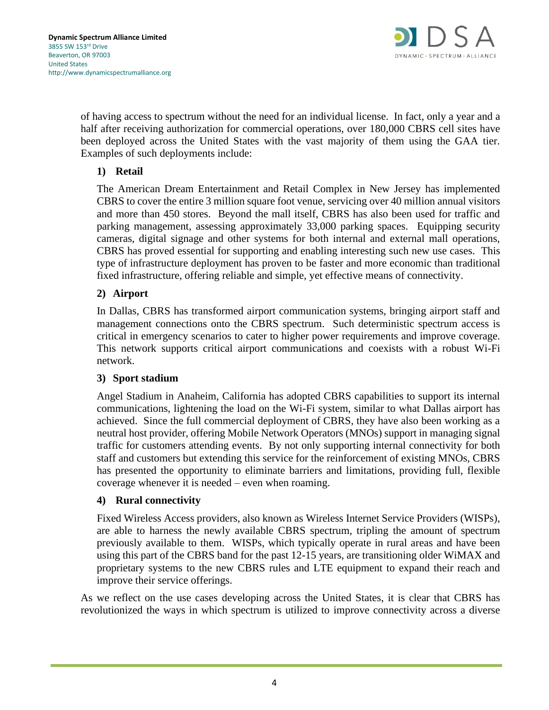

of having access to spectrum without the need for an individual license. In fact, only a year and a half after receiving authorization for commercial operations, over 180,000 CBRS cell sites have been deployed across the United States with the vast majority of them using the GAA tier. Examples of such deployments include:

## **1) Retail**

The American Dream Entertainment and Retail Complex in New Jersey has implemented CBRS to cover the entire 3 million square foot venue, servicing over 40 million annual visitors and more than 450 stores. Beyond the mall itself, CBRS has also been used for traffic and parking management, assessing approximately 33,000 parking spaces. Equipping security cameras, digital signage and other systems for both internal and external mall operations, CBRS has proved essential for supporting and enabling interesting such new use cases. This type of infrastructure deployment has proven to be faster and more economic than traditional fixed infrastructure, offering reliable and simple, yet effective means of connectivity.

### **2) Airport**

In Dallas, CBRS has transformed airport communication systems, bringing airport staff and management connections onto the CBRS spectrum. Such deterministic spectrum access is critical in emergency scenarios to cater to higher power requirements and improve coverage. This network supports critical airport communications and coexists with a robust Wi-Fi network.

#### **3) Sport stadium**

Angel Stadium in Anaheim, California has adopted CBRS capabilities to support its internal communications, lightening the load on the Wi-Fi system, similar to what Dallas airport has achieved. Since the full commercial deployment of CBRS, they have also been working as a neutral host provider, offering Mobile Network Operators (MNOs) support in managing signal traffic for customers attending events. By not only supporting internal connectivity for both staff and customers but extending this service for the reinforcement of existing MNOs, CBRS has presented the opportunity to eliminate barriers and limitations, providing full, flexible coverage whenever it is needed – even when roaming.

#### **4) Rural connectivity**

Fixed Wireless Access providers, also known as Wireless Internet Service Providers (WISPs), are able to harness the newly available CBRS spectrum, tripling the amount of spectrum previously available to them. WISPs, which typically operate in rural areas and have been using this part of the CBRS band for the past 12-15 years, are transitioning older WiMAX and proprietary systems to the new CBRS rules and LTE equipment to expand their reach and improve their service offerings.

As we reflect on the use cases developing across the United States, it is clear that CBRS has revolutionized the ways in which spectrum is utilized to improve connectivity across a diverse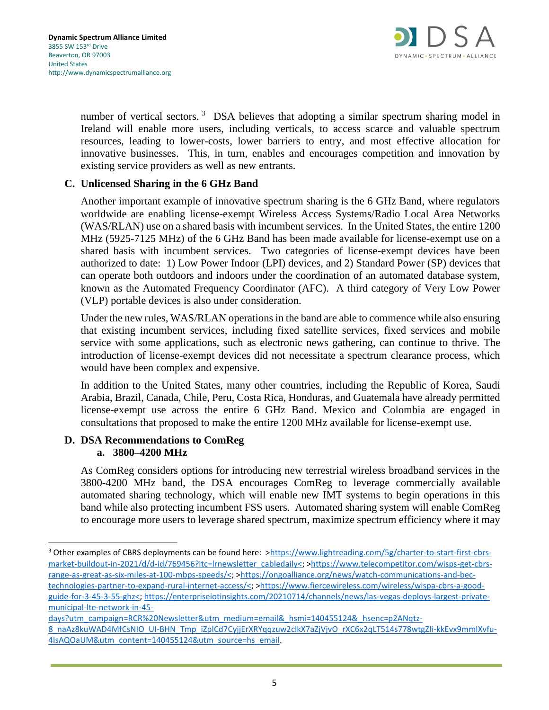

number of vertical sectors.<sup>3</sup> DSA believes that adopting a similar spectrum sharing model in Ireland will enable more users, including verticals, to access scarce and valuable spectrum resources, leading to lower-costs, lower barriers to entry, and most effective allocation for innovative businesses. This, in turn, enables and encourages competition and innovation by existing service providers as well as new entrants.

## **C. Unlicensed Sharing in the 6 GHz Band**

Another important example of innovative spectrum sharing is the 6 GHz Band, where regulators worldwide are enabling license-exempt Wireless Access Systems/Radio Local Area Networks (WAS/RLAN) use on a shared basis with incumbent services. In the United States, the entire 1200 MHz (5925-7125 MHz) of the 6 GHz Band has been made available for license-exempt use on a shared basis with incumbent services. Two categories of license-exempt devices have been authorized to date: 1) Low Power Indoor (LPI) devices, and 2) Standard Power (SP) devices that can operate both outdoors and indoors under the coordination of an automated database system, known as the Automated Frequency Coordinator (AFC). A third category of Very Low Power (VLP) portable devices is also under consideration.

Under the new rules, WAS/RLAN operations in the band are able to commence while also ensuring that existing incumbent services, including fixed satellite services, fixed services and mobile service with some applications, such as electronic news gathering, can continue to thrive. The introduction of license-exempt devices did not necessitate a spectrum clearance process, which would have been complex and expensive.

In addition to the United States, many other countries, including the Republic of Korea, Saudi Arabia, Brazil, Canada, Chile, Peru, Costa Rica, Honduras, and Guatemala have already permitted license-exempt use across the entire 6 GHz Band. Mexico and Colombia are engaged in consultations that proposed to make the entire 1200 MHz available for license-exempt use.

#### **D. DSA Recommendations to ComReg a. 3800–4200 MHz**

As ComReg considers options for introducing new terrestrial wireless broadband services in the 3800-4200 MHz band, the DSA encourages ComReg to leverage commercially available automated sharing technology, which will enable new IMT systems to begin operations in this band while also protecting incumbent FSS users. Automated sharing system will enable ComReg to encourage more users to leverage shared spectrum, maximize spectrum efficiency where it may

<sup>&</sup>lt;sup>3</sup> Other examples of CBRS deployments can be found here: [>https://www.lightreading.com/5g/charter-to-start-first-cbrs](https://www.lightreading.com/5g/charter-to-start-first-cbrs-market-buildout-in-2021/d/d-id/769456?itc=lrnewsletter_cabledaily%3c)[market-buildout-in-2021/d/d-id/769456?itc=lrnewsletter\\_cabledaily<;](https://www.lightreading.com/5g/charter-to-start-first-cbrs-market-buildout-in-2021/d/d-id/769456?itc=lrnewsletter_cabledaily%3c) [>https://www.telecompetitor.com/wisps-get-cbrs](https://www.telecompetitor.com/wisps-get-cbrs-range-as-great-as-six-miles-at-100-mbps-speeds/%3c)[range-as-great-as-six-miles-at-100-mbps-speeds/<;](https://www.telecompetitor.com/wisps-get-cbrs-range-as-great-as-six-miles-at-100-mbps-speeds/%3c) [>https://ongoalliance.org/news/watch-communications-and-bec](https://ongoalliance.org/news/watch-communications-and-bec-technologies-partner-to-expand-rural-internet-access/%3c)[technologies-partner-to-expand-rural-internet-access/<;](https://ongoalliance.org/news/watch-communications-and-bec-technologies-partner-to-expand-rural-internet-access/%3c) [>https://www.fiercewireless.com/wireless/wispa-cbrs-a-good](https://www.fiercewireless.com/wireless/wispa-cbrs-a-good-guide-for-3-45-3-55-ghz%3c)[guide-for-3-45-3-55-ghz<;](https://www.fiercewireless.com/wireless/wispa-cbrs-a-good-guide-for-3-45-3-55-ghz%3c) [https://enterpriseiotinsights.com/20210714/channels/news/las-vegas-deploys-largest-private](https://enterpriseiotinsights.com/20210714/channels/news/las-vegas-deploys-largest-private-municipal-lte-network-in-45-days?utm_campaign=RCR%20Newsletter&utm_medium=email&_hsmi=140455124&_hsenc=p2ANqtz-8_naAz8kuWAD4MfCsNIO_UI-BHN_Tmp_iZplCd7CyjjErXRYqqzuw2clkX7aZjVjvO_rXC6x2qLT514s778wtgZli-kkEvx9mmlXvfu-4IsAQOaUM&utm_content=140455124&utm_source=hs_email)[municipal-lte-network-in-45-](https://enterpriseiotinsights.com/20210714/channels/news/las-vegas-deploys-largest-private-municipal-lte-network-in-45-days?utm_campaign=RCR%20Newsletter&utm_medium=email&_hsmi=140455124&_hsenc=p2ANqtz-8_naAz8kuWAD4MfCsNIO_UI-BHN_Tmp_iZplCd7CyjjErXRYqqzuw2clkX7aZjVjvO_rXC6x2qLT514s778wtgZli-kkEvx9mmlXvfu-4IsAQOaUM&utm_content=140455124&utm_source=hs_email)

[days?utm\\_campaign=RCR%20Newsletter&utm\\_medium=email&\\_hsmi=140455124&\\_hsenc=p2ANqtz-](https://enterpriseiotinsights.com/20210714/channels/news/las-vegas-deploys-largest-private-municipal-lte-network-in-45-days?utm_campaign=RCR%20Newsletter&utm_medium=email&_hsmi=140455124&_hsenc=p2ANqtz-8_naAz8kuWAD4MfCsNIO_UI-BHN_Tmp_iZplCd7CyjjErXRYqqzuw2clkX7aZjVjvO_rXC6x2qLT514s778wtgZli-kkEvx9mmlXvfu-4IsAQOaUM&utm_content=140455124&utm_source=hs_email)[8\\_naAz8kuWAD4MfCsNIO\\_UI-BHN\\_Tmp\\_iZplCd7CyjjErXRYqqzuw2clkX7aZjVjvO\\_rXC6x2qLT514s778wtgZli-kkEvx9mmlXvfu-](https://enterpriseiotinsights.com/20210714/channels/news/las-vegas-deploys-largest-private-municipal-lte-network-in-45-days?utm_campaign=RCR%20Newsletter&utm_medium=email&_hsmi=140455124&_hsenc=p2ANqtz-8_naAz8kuWAD4MfCsNIO_UI-BHN_Tmp_iZplCd7CyjjErXRYqqzuw2clkX7aZjVjvO_rXC6x2qLT514s778wtgZli-kkEvx9mmlXvfu-4IsAQOaUM&utm_content=140455124&utm_source=hs_email)[4IsAQOaUM&utm\\_content=140455124&utm\\_source=hs\\_email.](https://enterpriseiotinsights.com/20210714/channels/news/las-vegas-deploys-largest-private-municipal-lte-network-in-45-days?utm_campaign=RCR%20Newsletter&utm_medium=email&_hsmi=140455124&_hsenc=p2ANqtz-8_naAz8kuWAD4MfCsNIO_UI-BHN_Tmp_iZplCd7CyjjErXRYqqzuw2clkX7aZjVjvO_rXC6x2qLT514s778wtgZli-kkEvx9mmlXvfu-4IsAQOaUM&utm_content=140455124&utm_source=hs_email)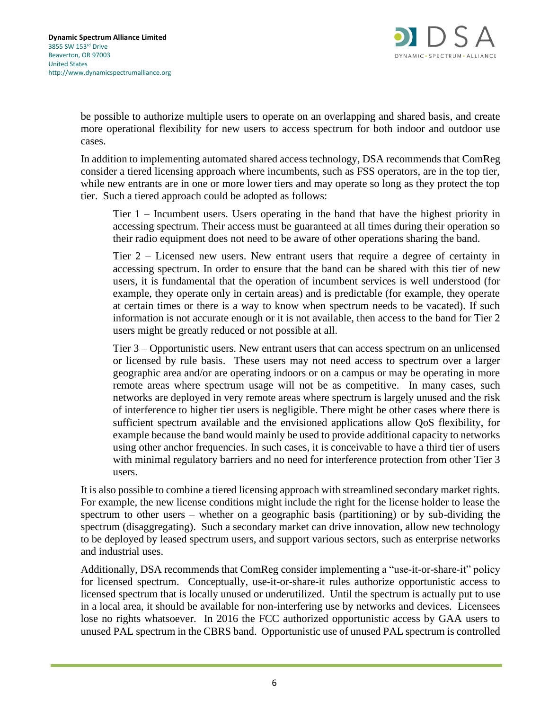

be possible to authorize multiple users to operate on an overlapping and shared basis, and create more operational flexibility for new users to access spectrum for both indoor and outdoor use cases.

In addition to implementing automated shared access technology, DSA recommends that ComReg consider a tiered licensing approach where incumbents, such as FSS operators, are in the top tier, while new entrants are in one or more lower tiers and may operate so long as they protect the top tier. Such a tiered approach could be adopted as follows:

Tier 1 – Incumbent users. Users operating in the band that have the highest priority in accessing spectrum. Their access must be guaranteed at all times during their operation so their radio equipment does not need to be aware of other operations sharing the band.

Tier 2 – Licensed new users. New entrant users that require a degree of certainty in accessing spectrum. In order to ensure that the band can be shared with this tier of new users, it is fundamental that the operation of incumbent services is well understood (for example, they operate only in certain areas) and is predictable (for example, they operate at certain times or there is a way to know when spectrum needs to be vacated). If such information is not accurate enough or it is not available, then access to the band for Tier 2 users might be greatly reduced or not possible at all.

Tier 3 – Opportunistic users. New entrant users that can access spectrum on an unlicensed or licensed by rule basis. These users may not need access to spectrum over a larger geographic area and/or are operating indoors or on a campus or may be operating in more remote areas where spectrum usage will not be as competitive. In many cases, such networks are deployed in very remote areas where spectrum is largely unused and the risk of interference to higher tier users is negligible. There might be other cases where there is sufficient spectrum available and the envisioned applications allow QoS flexibility, for example because the band would mainly be used to provide additional capacity to networks using other anchor frequencies. In such cases, it is conceivable to have a third tier of users with minimal regulatory barriers and no need for interference protection from other Tier 3 users.

It is also possible to combine a tiered licensing approach with streamlined secondary market rights. For example, the new license conditions might include the right for the license holder to lease the spectrum to other users – whether on a geographic basis (partitioning) or by sub-dividing the spectrum (disaggregating). Such a secondary market can drive innovation, allow new technology to be deployed by leased spectrum users, and support various sectors, such as enterprise networks and industrial uses.

Additionally, DSA recommends that ComReg consider implementing a "use-it-or-share-it" policy for licensed spectrum. Conceptually, use-it-or-share-it rules authorize opportunistic access to licensed spectrum that is locally unused or underutilized. Until the spectrum is actually put to use in a local area, it should be available for non-interfering use by networks and devices. Licensees lose no rights whatsoever. In 2016 the FCC authorized opportunistic access by GAA users to unused PAL spectrum in the CBRS band. Opportunistic use of unused PAL spectrum is controlled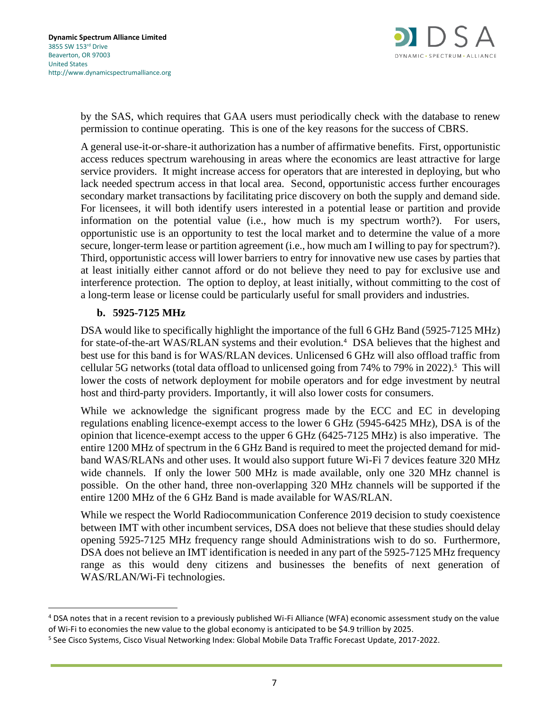

by the SAS, which requires that GAA users must periodically check with the database to renew permission to continue operating. This is one of the key reasons for the success of CBRS.

A general use-it-or-share-it authorization has a number of affirmative benefits. First, opportunistic access reduces spectrum warehousing in areas where the economics are least attractive for large service providers. It might increase access for operators that are interested in deploying, but who lack needed spectrum access in that local area. Second, opportunistic access further encourages secondary market transactions by facilitating price discovery on both the supply and demand side. For licensees, it will both identify users interested in a potential lease or partition and provide information on the potential value (i.e., how much is my spectrum worth?). For users, opportunistic use is an opportunity to test the local market and to determine the value of a more secure, longer-term lease or partition agreement (i.e., how much am I willing to pay for spectrum?). Third, opportunistic access will lower barriers to entry for innovative new use cases by parties that at least initially either cannot afford or do not believe they need to pay for exclusive use and interference protection. The option to deploy, at least initially, without committing to the cost of a long-term lease or license could be particularly useful for small providers and industries.

### **b. 5925-7125 MHz**

DSA would like to specifically highlight the importance of the full 6 GHz Band (5925-7125 MHz) for state-of-the-art WAS/RLAN systems and their evolution.<sup>4</sup> DSA believes that the highest and best use for this band is for WAS/RLAN devices. Unlicensed 6 GHz will also offload traffic from cellular 5G networks (total data offload to unlicensed going from 74% to 79% in 2022).<sup>5</sup> This will lower the costs of network deployment for mobile operators and for edge investment by neutral host and third-party providers. Importantly, it will also lower costs for consumers.

While we acknowledge the significant progress made by the ECC and EC in developing regulations enabling licence-exempt access to the lower 6 GHz (5945-6425 MHz), DSA is of the opinion that licence-exempt access to the upper 6 GHz (6425-7125 MHz) is also imperative. The entire 1200 MHz of spectrum in the 6 GHz Band is required to meet the projected demand for midband WAS/RLANs and other uses. It would also support future Wi-Fi 7 devices feature 320 MHz wide channels. If only the lower 500 MHz is made available, only one 320 MHz channel is possible. On the other hand, three non-overlapping 320 MHz channels will be supported if the entire 1200 MHz of the 6 GHz Band is made available for WAS/RLAN.

While we respect the World Radiocommunication Conference 2019 decision to study coexistence between IMT with other incumbent services, DSA does not believe that these studies should delay opening 5925-7125 MHz frequency range should Administrations wish to do so. Furthermore, DSA does not believe an IMT identification is needed in any part of the 5925-7125 MHz frequency range as this would deny citizens and businesses the benefits of next generation of WAS/RLAN/Wi-Fi technologies.

<sup>4</sup> DSA notes that in a recent revision to a previously published Wi-Fi Alliance (WFA) economic assessment study on the value of Wi-Fi to economies the new value to the global economy is anticipated to be \$4.9 trillion by 2025.

<sup>&</sup>lt;sup>5</sup> See Cisco Systems, Cisco Visual Networking Index: Global Mobile Data Traffic Forecast Update, 2017-2022.